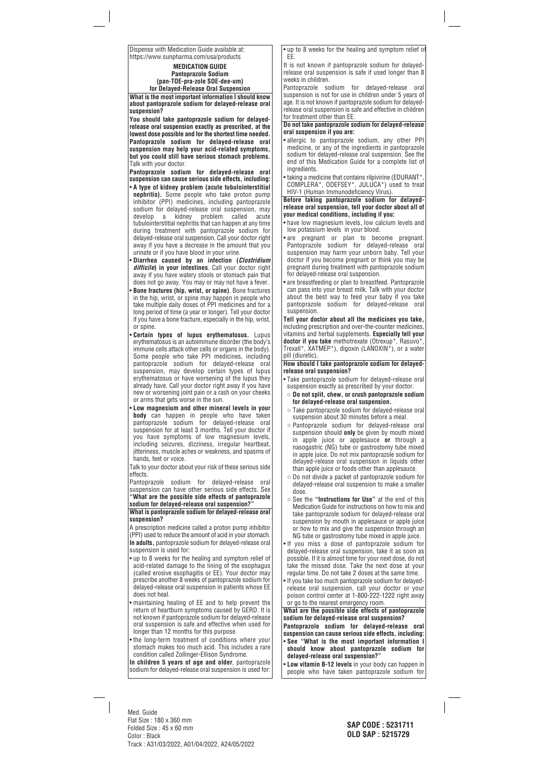Dispense with Medication Guide available at: https://www.sunpharma.com/usa/products

> **MEDICATION GUIDE Pantoprazole Sodium (pan-TOE-pra-zole SOE-dee-um) for Delayed-Release Oral Suspension**

**What is the most important information I should know about pantoprazole sodium for delayed-release oral suspension?**

**You should take pantoprazole sodium for delayedrelease oral suspension exactly as prescribed, at the lowest dose possible and for the shortest time needed. Pantoprazole sodium for delayed-release oral suspension may help your acid-related symptoms, but you could still have serious stomach problems.** Talk with your doctor.

**Pantoprazole sodium for delayed-release oral suspension can cause serious side effects, including:**

- **A type of kidney problem (acute tubulointerstitial nephritis).** Some people who take proton pump inhibitor (PPI) medicines, including pantoprazole sodium for delayed-release oral suspension, may develop a kidney problem called acute tubulointerstitial nephritis that can happen at any time during treatment with pantoprazole sodium for delayed-release oral suspension. Call your doctor right away if you have a decrease in the amount that you urinate or if you have blood in your urine.
- **Diarrhea caused by an infection (***Clostridium difficile***) in your intestines**. Call your doctor right away if you have watery stools or stomach pain that does not go away. You may or may not have a fever.
- **Bone fractures (hip, wrist, or spine)**. Bone fractures in the hip, wrist, or spine may happen in people who take multiple daily doses of PPI medicines and for a long period of time (a year or longer). Tell your doctor if you have a bone fracture, especially in the hip, wrist, or spine.
- **Certain types of lupus erythematosus.** Lupus erythematosus is an autoimmune disorder (the body's immune cells attack other cells or organs in the body). Some people who take PPI medicines, including pantoprazole sodium for delayed-release oral suspension, may develop certain types of lupus erythematosus or have worsening of the lupus they already have. Call your doctor right away if you have new or worsening joint pain or a rash on your cheeks or arms that gets worse in the sun.
- **Low magnesium and other mineral levels in your body** can happen in people who have taken pantoprazole sodium for delayed-release oral suspension for at least 3 months. Tell your doctor if you have symptoms of low magnesium levels, including seizures, dizziness, irregular heartbeat, jitteriness, muscle aches or weakness, and spasms of hands, feet or voice.

Talk to your doctor about your risk of these serious side effects.

Pantoprazole sodium for delayed-release oral suspension can have other serious side effects. See **"What are the possible side effects of pantoprazole sodium for delayed-release oral suspension?"**

## **What is pantoprazole sodium for delayed-release oral suspension?**

A prescription medicine called a proton pump inhibitor (PPI) used to reduce the amount of acid in your stomach. **In adults,** pantoprazole sodium for delayed-release oral suspension is used for:

- up to 8 weeks for the healing and symptom relief of acid-related damage to the lining of the esophagus (called erosive esophagitis or EE). Your doctor may prescribe another 8 weeks of pantoprazole sodium for delayed-release oral suspension in patients whose EE does not heal.
- maintaining healing of EE and to help prevent the return of heartburn symptoms caused by GERD. It is not known if pantoprazole sodium for delayed-release oral suspension is safe and effective when used for longer than 12 months for this purpose.
- the long-term treatment of conditions where your stomach makes too much acid. This includes a rare condition called Zollinger-Ellison Syndrome.

**In children 5 years of age and older**, pantoprazole sodium for delayed-release oral suspension is used for:

• up to 8 weeks for the healing and symptom relief of EE.

It is not known if pantoprazole sodium for delayedrelease oral suspension is safe if used longer than 8 weeks in children.

Pantoprazole sodium for delayed-release oral suspension is not for use in children under 5 years of age. It is not known if pantoprazole sodium for delayedrelease oral suspension is safe and effective in children for treatment other than EE.

**Do not take pantoprazole sodium for delayed-release oral suspension if you are:**

- allergic to pantoprazole sodium, any other PPI medicine, or any of the ingredients in pantoprazole sodium for delayed-release oral suspension. See the end of this Medication Guide for a complete list of ingredients.
- taking a medicine that contains rilpivirine (EDURANT\* COMPLERA\*, ODEFSEY\*, JULUCA\*) used to treat HIV-1 (Human Immunodeficiency Virus).

### **Before taking pantoprazole sodium for delayedrelease oral suspension, tell your doctor about all of your medical conditions, including if you:**

- have low magnesium levels, low calcium levels and low potassium levels in your blood.
- are pregnant or plan to become pregnant. Pantoprazole sodium for delayed-release oral suspension may harm your unborn baby. Tell your doctor if you become pregnant or think you may be pregnant during treatment with pantoprazole sodium for delayed-release oral suspension.
- are breastfeeding or plan to breastfeed. Pantoprazole can pass into your breast milk. Talk with your doctor about the best way to feed your baby if you take pantoprazole sodium for delayed-release oral suspension.

**Tell your doctor about all the medicines you take,** including prescription and over-the-counter medicines, vitamins and herbal supplements. **Especially tell your doctor if you take** methotrexate (Otrexup\*, Rasuvo\*, Trexall\*, XATMEP\*), digoxin (LANOXIN\*), or a water pill (diuretic).

**How should I take pantoprazole sodium for delayedrelease oral suspension?**

- Take pantoprazole sodium for delayed-release oral suspension exactly as prescribed by your doctor.
- **Do not split, chew, or crush pantoprazole sodium for delayed-release oral suspension.**
- Take pantoprazole sodium for delayed-release oral suspension about 30 minutes before a meal.
- Pantoprazole sodium for delayed-release oral suspension should **only** be given by mouth mixed in apple juice or applesauce **or** through a nasogastric (NG) tube or gastrostomy tube mixed in apple juice. Do not mix pantoprazole sodium for delayed-release oral suspension in liquids other than apple juice or foods other than applesauce.
- Do not divide a packet of pantoprazole sodium for delayed-release oral suspension to make a smaller dose.
- See the **"Instructions for Use"** at the end of this Medication Guide for instructions on how to mix and take pantoprazole sodium for delayed-release oral suspension by mouth in applesauce or apple juice or how to mix and give the suspension through an NG tube or gastrostomy tube mixed in apple juice.
- If you miss a dose of pantoprazole sodium for delayed-release oral suspension, take it as soon as possible. If it is almost time for your next dose, do not take the missed dose. Take the next dose at your regular time. Do not take 2 doses at the same time.
- If you take too much pantoprazole sodium for delayedrelease oral suspension, call your doctor or your poison control center at 1-800-222-1222 right away or go to the nearest emergency room.

**What are the possible side effects of pantoprazole sodium for delayed-release oral suspension?**

**Pantoprazole sodium for delayed-release oral suspension can cause serious side effects, including:**

- **See "What is the most important information I should know about pantoprazole sodium for delayed-release oral suspension?"**
- **Low vitamin B-12 levels** in your body can happen in people who have taken pantoprazole sodium for